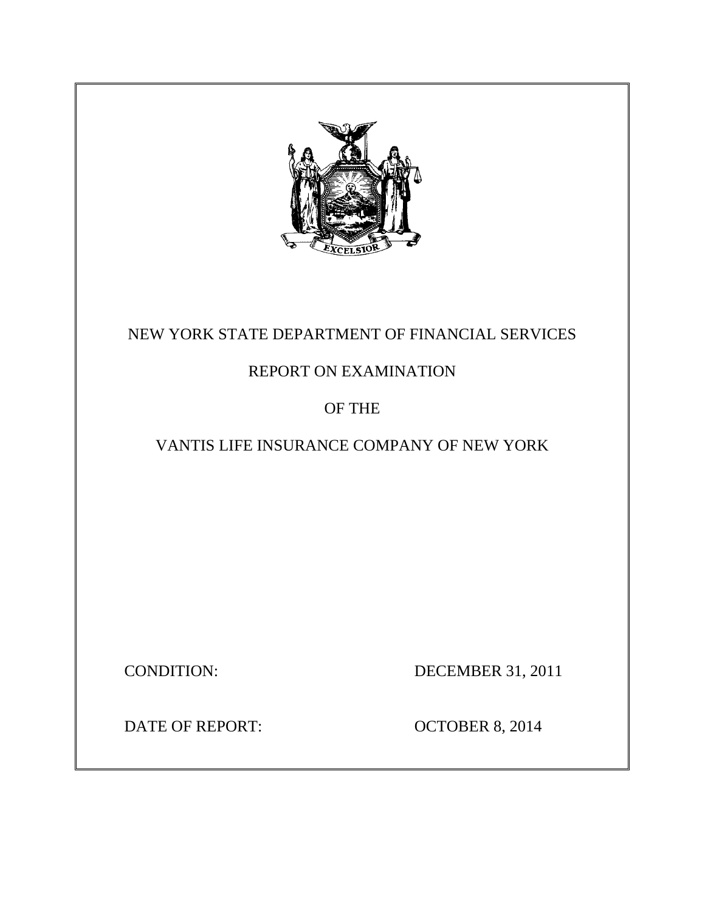

# NEW YORK STATE DEPARTMENT OF FINANCIAL SERVICES

# REPORT ON EXAMINATION

# OF THE

# VANTIS LIFE INSURANCE COMPANY OF NEW YORK

CONDITION: DECEMBER 31, 2011

DATE OF REPORT: OCTOBER 8, 2014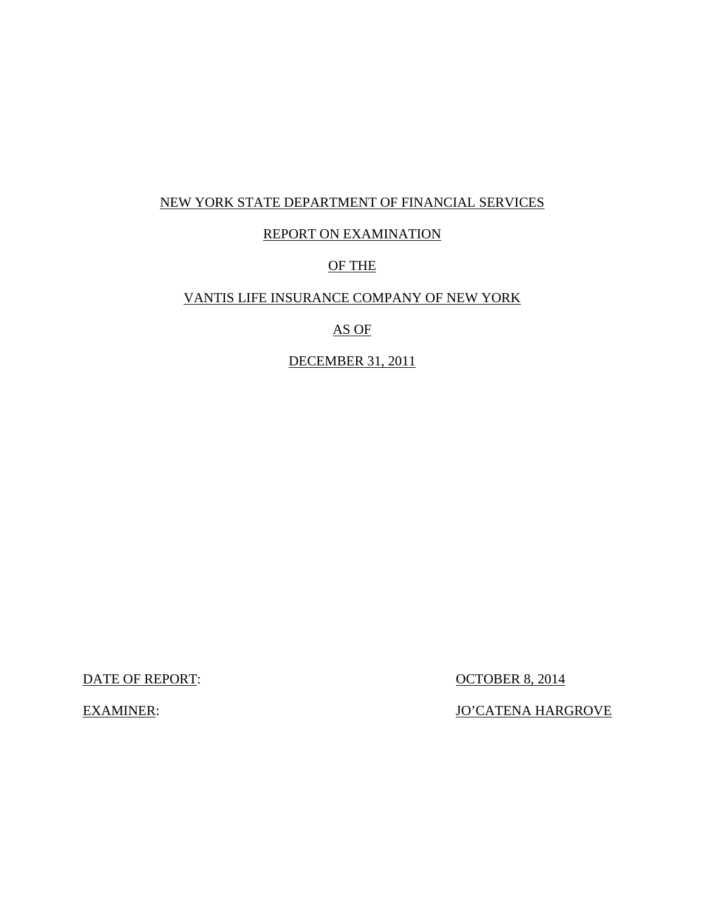### NEW YORK STATE DEPARTMENT OF FINANCIAL SERVICES

### REPORT ON EXAMINATION

## OF THE

### VANTIS LIFE INSURANCE COMPANY OF NEW YORK

### AS OF

### DECEMBER 31, 2011

DATE OF REPORT:  $OCTOBER 8, 2014$ 

EXAMINER: JO'CATENA HARGROVE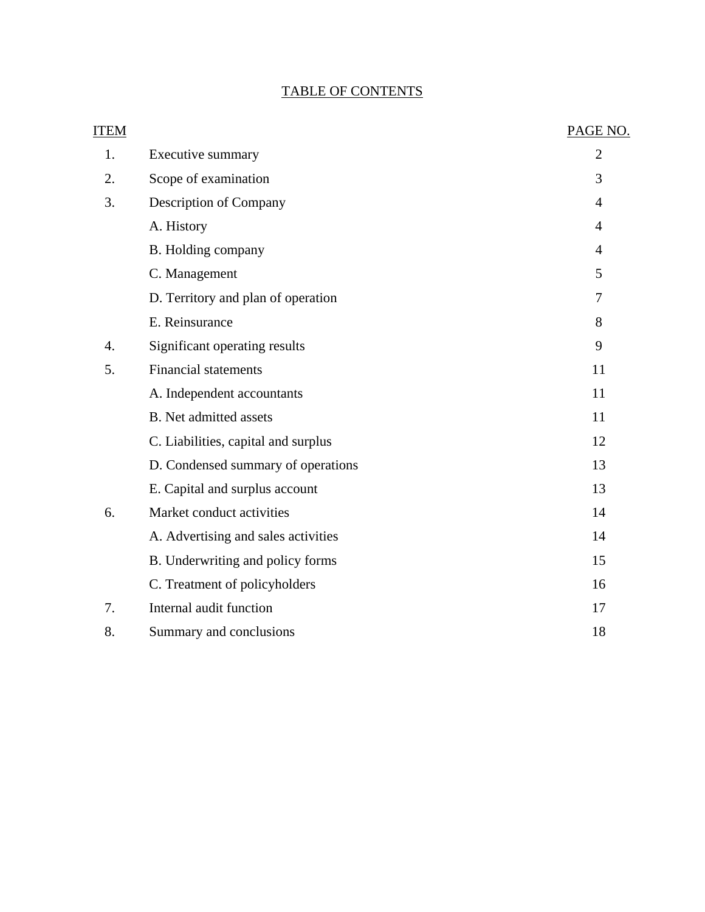# TABLE OF CONTENTS

| <b>ITEM</b> |                                     | PAGE NO.       |
|-------------|-------------------------------------|----------------|
| 1.          | Executive summary                   | $\overline{2}$ |
| 2.          | Scope of examination                | 3              |
| 3.          | Description of Company              | 4              |
|             | A. History                          | $\overline{4}$ |
|             | B. Holding company                  | $\overline{4}$ |
|             | C. Management                       | 5              |
|             | D. Territory and plan of operation  | 7              |
|             | E. Reinsurance                      | 8              |
| 4.          | Significant operating results       | 9              |
| 5.          | <b>Financial statements</b>         | 11             |
|             | A. Independent accountants          | 11             |
|             | <b>B.</b> Net admitted assets       | 11             |
|             | C. Liabilities, capital and surplus | 12             |
|             | D. Condensed summary of operations  | 13             |
|             | E. Capital and surplus account      | 13             |
| 6.          | Market conduct activities           | 14             |
|             | A. Advertising and sales activities | 14             |
|             | B. Underwriting and policy forms    | 15             |
|             | C. Treatment of policyholders       | 16             |
| 7.          | Internal audit function             | 17             |
| 8.          | Summary and conclusions             | 18             |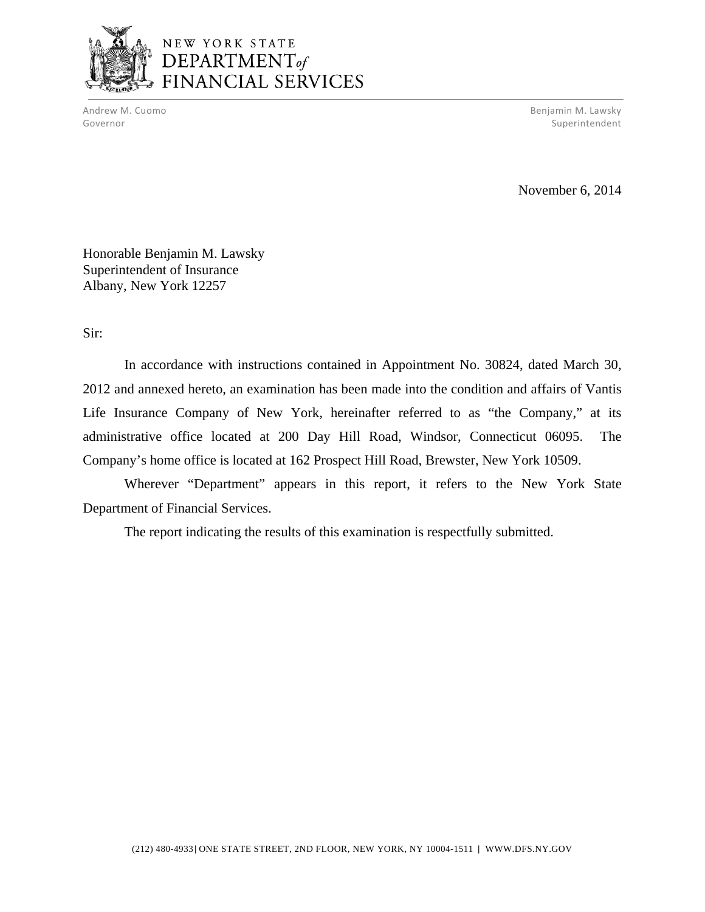

# NEW YORK STATE DEPARTMENT<sub>of</sub> FINANCIAL SERVICES

Andrew M. Cuomo Benjamin M. Lawsky Governor Superintendent Superintendent Superintendent Superintendent Superintendent Superintendent Superintendent

November 6, 2014

Honorable Benjamin M. Lawsky Superintendent of Insurance Albany, New York 12257

Sir:

In accordance with instructions contained in Appointment No. 30824, dated March 30, 2012 and annexed hereto, an examination has been made into the condition and affairs of Vantis Life Insurance Company of New York, hereinafter referred to as "the Company," at its administrative office located at 200 Day Hill Road, Windsor, Connecticut 06095. The Company's home office is located at 162 Prospect Hill Road, Brewster, New York 10509.

Wherever "Department" appears in this report, it refers to the New York State Department of Financial Services.

The report indicating the results of this examination is respectfully submitted.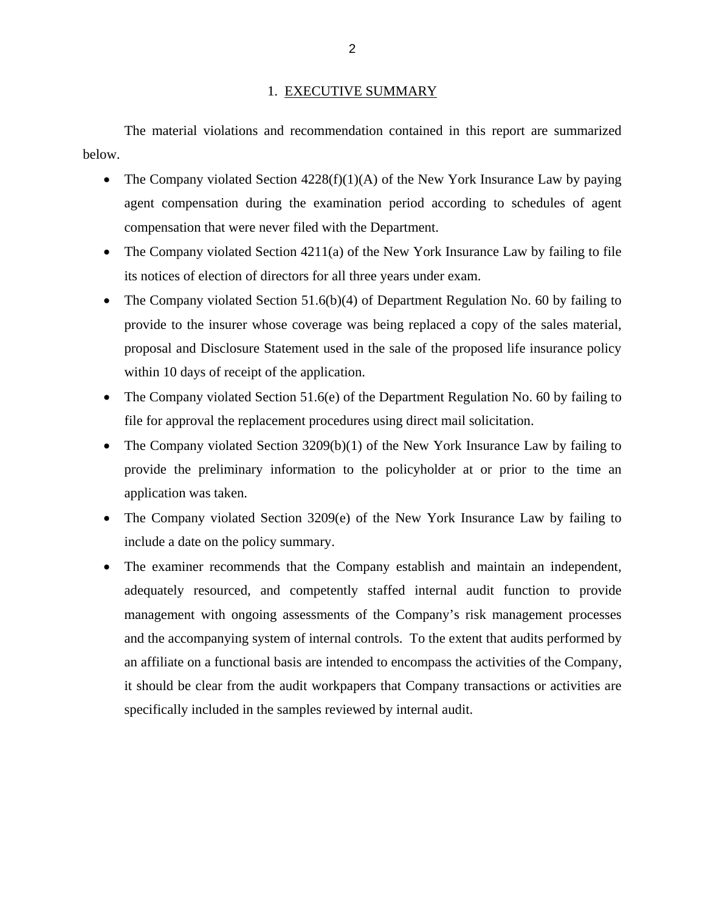#### 1. EXECUTIVE SUMMARY

<span id="page-4-0"></span>The material violations and recommendation contained in this report are summarized below.

- The Company violated Section  $4228(f)(1)(A)$  of the New York Insurance Law by paying agent compensation during the examination period according to schedules of agent compensation that were never filed with the Department.
- The Company violated Section  $4211(a)$  of the New York Insurance Law by failing to file its notices of election of directors for all three years under exam.
- The Company violated Section 51.6(b)(4) of Department Regulation No. 60 by failing to provide to the insurer whose coverage was being replaced a copy of the sales material, proposal and Disclosure Statement used in the sale of the proposed life insurance policy within 10 days of receipt of the application.
- The Company violated Section 51.6(e) of the Department Regulation No. 60 by failing to file for approval the replacement procedures using direct mail solicitation.
- The Company violated Section 3209(b)(1) of the New York Insurance Law by failing to provide the preliminary information to the policyholder at or prior to the time an application was taken.
- The Company violated Section 3209(e) of the New York Insurance Law by failing to include a date on the policy summary.
- The examiner recommends that the Company establish and maintain an independent, adequately resourced, and competently staffed internal audit function to provide management with ongoing assessments of the Company's risk management processes and the accompanying system of internal controls. To the extent that audits performed by an affiliate on a functional basis are intended to encompass the activities of the Company, it should be clear from the audit workpapers that Company transactions or activities are specifically included in the samples reviewed by internal audit.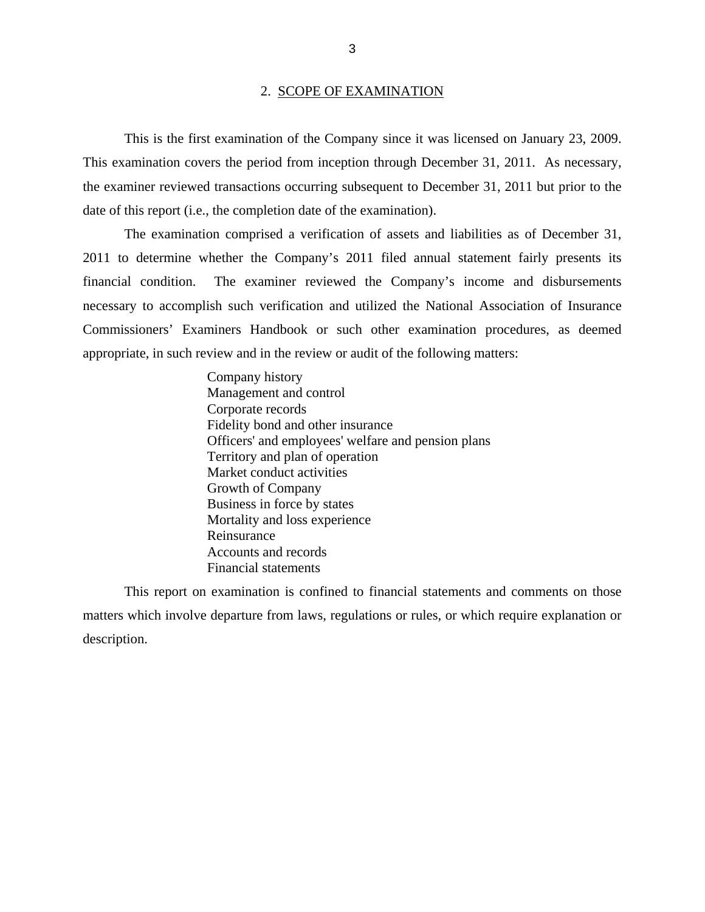#### 2. SCOPE OF EXAMINATION

<span id="page-5-0"></span>This is the first examination of the Company since it was licensed on January 23, 2009. This examination covers the period from inception through December 31, 2011. As necessary, the examiner reviewed transactions occurring subsequent to December 31, 2011 but prior to the date of this report (i.e., the completion date of the examination).

The examination comprised a verification of assets and liabilities as of December 31, 2011 to determine whether the Company's 2011 filed annual statement fairly presents its financial condition. The examiner reviewed the Company's income and disbursements necessary to accomplish such verification and utilized the National Association of Insurance Commissioners' Examiners Handbook or such other examination procedures, as deemed appropriate, in such review and in the review or audit of the following matters:

> Company history Management and control Corporate records Fidelity bond and other insurance Officers' and employees' welfare and pension plans Territory and plan of operation Market conduct activities Growth of Company Business in force by states Mortality and loss experience Reinsurance Accounts and records Financial statements

This report on examination is confined to financial statements and comments on those matters which involve departure from laws, regulations or rules, or which require explanation or description.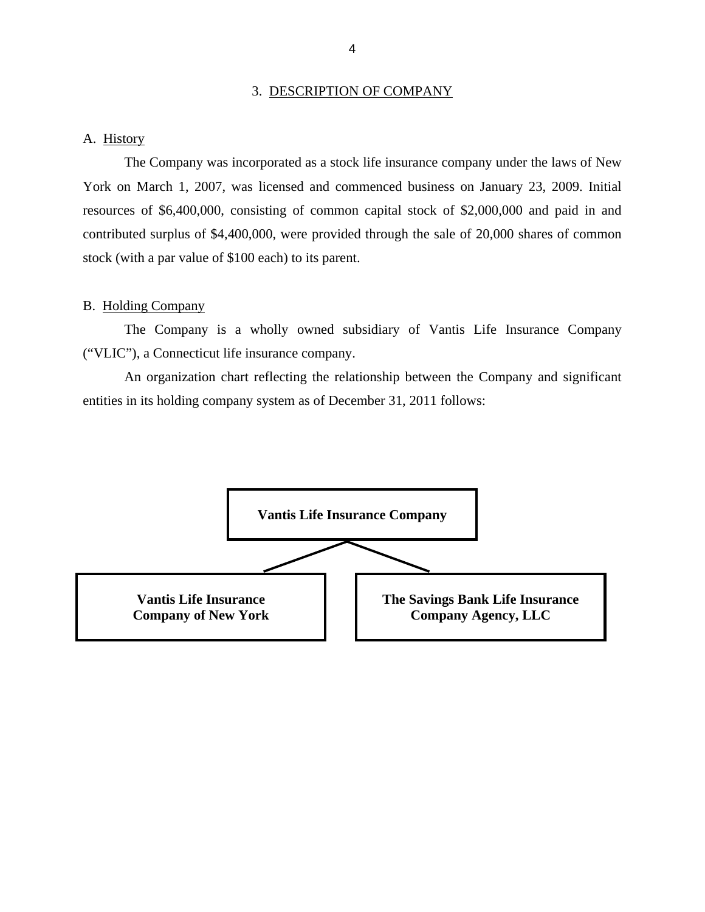#### 3. DESCRIPTION OF COMPANY

#### <span id="page-6-0"></span>A. History

The Company was incorporated as a stock life insurance company under the laws of New York on March 1, 2007, was licensed and commenced business on January 23, 2009. Initial resources of \$6,400,000, consisting of common capital stock of \$2,000,000 and paid in and contributed surplus of \$4,400,000, were provided through the sale of 20,000 shares of common stock (with a par value of \$100 each) to its parent.

#### B. Holding Company

The Company is a wholly owned subsidiary of Vantis Life Insurance Company ("VLIC"), a Connecticut life insurance company.

An organization chart reflecting the relationship between the Company and significant entities in its holding company system as of December 31, 2011 follows:

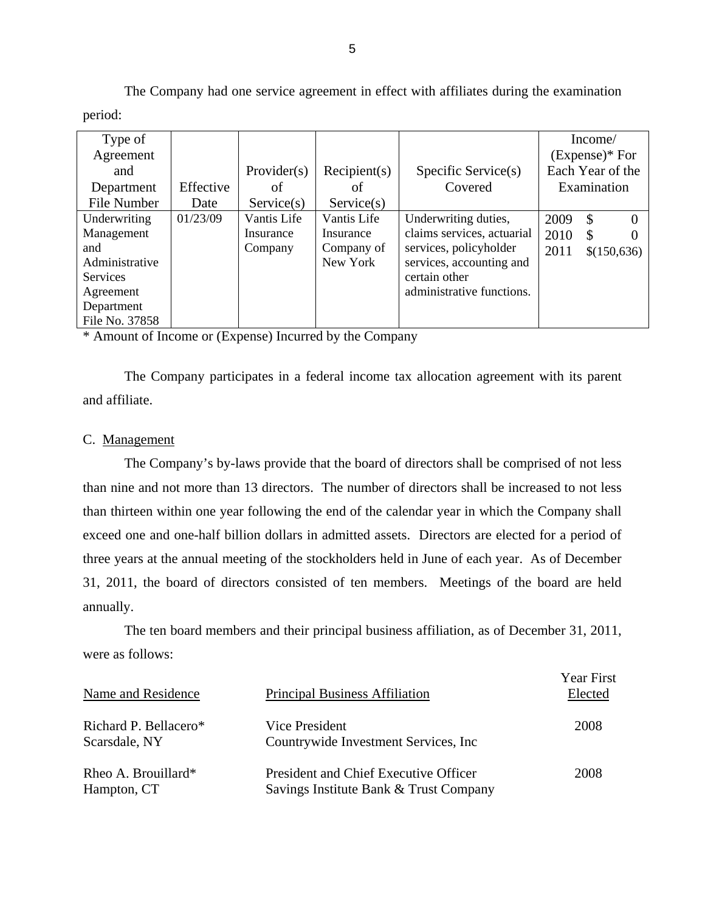| Type of         |           |             |              |                            |      | Income/          |
|-----------------|-----------|-------------|--------------|----------------------------|------|------------------|
| Agreement       |           |             |              |                            |      | $(Express)*For$  |
| and             |           | Provider(s) | Recipient(s) | Specific Service(s)        |      | Each Year of the |
| Department      | Effective | οf          | οf           | Covered                    |      | Examination      |
| File Number     | Date      | Service(s)  | Service(s)   |                            |      |                  |
| Underwriting    | 01/23/09  | Vantis Life | Vantis Life  | Underwriting duties,       | 2009 | \$<br>0          |
| Management      |           | Insurance   | Insurance    | claims services, actuarial | 2010 | \$               |
| and             |           | Company     | Company of   | services, policyholder     | 2011 | \$(150,636)      |
| Administrative  |           |             | New York     | services, accounting and   |      |                  |
| <b>Services</b> |           |             |              | certain other              |      |                  |
| Agreement       |           |             |              | administrative functions.  |      |                  |
| Department      |           |             |              |                            |      |                  |
| File No. 37858  |           |             |              |                            |      |                  |

The Company had one service agreement in effect with affiliates during the examination period:

\* Amount of Income or (Expense) Incurred by the Company

The Company participates in a federal income tax allocation agreement with its parent and affiliate.

#### C. Management

The Company's by-laws provide that the board of directors shall be comprised of not less than nine and not more than 13 directors. The number of directors shall be increased to not less than thirteen within one year following the end of the calendar year in which the Company shall exceed one and one-half billion dollars in admitted assets. Directors are elected for a period of three years at the annual meeting of the stockholders held in June of each year. As of December 31, 2011, the board of directors consisted of ten members. Meetings of the board are held annually.

The ten board members and their principal business affiliation, as of December 31, 2011, were as follows:

| Name and Residence                     | <b>Principal Business Affiliation</b>                                                  | <b>Year First</b><br>Elected |
|----------------------------------------|----------------------------------------------------------------------------------------|------------------------------|
| Richard P. Bellacero*<br>Scarsdale, NY | Vice President<br>Countrywide Investment Services, Inc.                                | 2008                         |
| Rheo A. Brouillard*<br>Hampton, CT     | <b>President and Chief Executive Officer</b><br>Savings Institute Bank & Trust Company | 2008                         |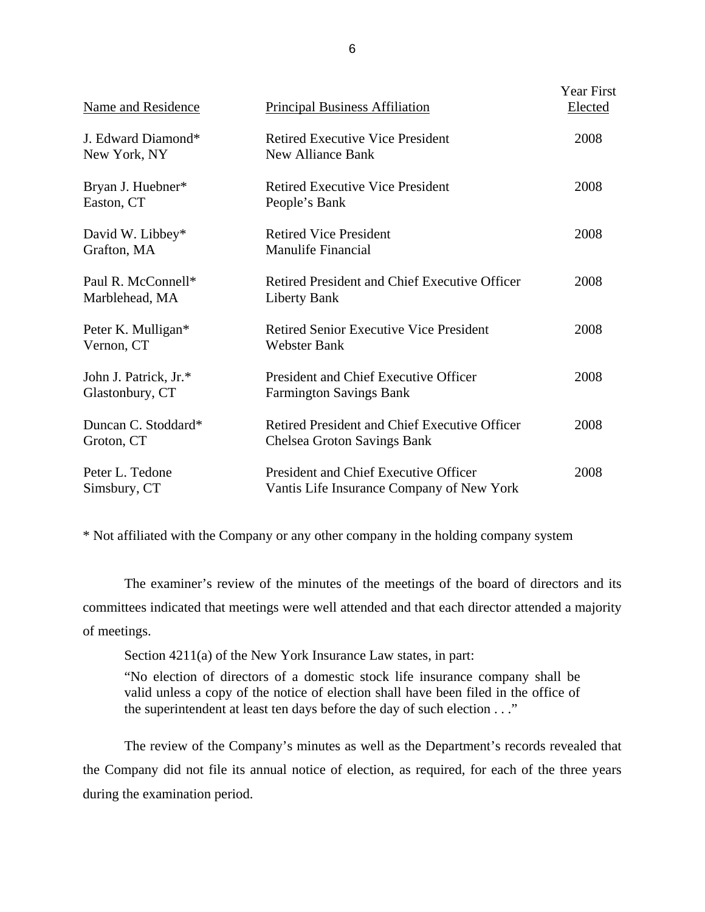| Name and Residence                       | <b>Principal Business Affiliation</b>                                               | <b>Year First</b><br>Elected |
|------------------------------------------|-------------------------------------------------------------------------------------|------------------------------|
| J. Edward Diamond*<br>New York, NY       | <b>Retired Executive Vice President</b><br><b>New Alliance Bank</b>                 | 2008                         |
| Bryan J. Huebner*<br>Easton, CT          | <b>Retired Executive Vice President</b><br>People's Bank                            | 2008                         |
| David W. Libbey*<br>Grafton, MA          | <b>Retired Vice President</b><br><b>Manulife Financial</b>                          | 2008                         |
| Paul R. McConnell*<br>Marblehead, MA     | Retired President and Chief Executive Officer<br><b>Liberty Bank</b>                | 2008                         |
| Peter K. Mulligan*<br>Vernon, CT         | <b>Retired Senior Executive Vice President</b><br><b>Webster Bank</b>               | 2008                         |
| John J. Patrick, Jr.*<br>Glastonbury, CT | President and Chief Executive Officer<br><b>Farmington Savings Bank</b>             | 2008                         |
| Duncan C. Stoddard*<br>Groton, CT        | Retired President and Chief Executive Officer<br><b>Chelsea Groton Savings Bank</b> | 2008                         |
| Peter L. Tedone<br>Simsbury, CT          | President and Chief Executive Officer<br>Vantis Life Insurance Company of New York  | 2008                         |

\* Not affiliated with the Company or any other company in the holding company system

The examiner's review of the minutes of the meetings of the board of directors and its committees indicated that meetings were well attended and that each director attended a majority of meetings.

Section 4211(a) of the New York Insurance Law states, in part:

"No election of directors of a domestic stock life insurance company shall be valid unless a copy of the notice of election shall have been filed in the office of the superintendent at least ten days before the day of such election . . ."

The review of the Company's minutes as well as the Department's records revealed that the Company did not file its annual notice of election, as required, for each of the three years during the examination period.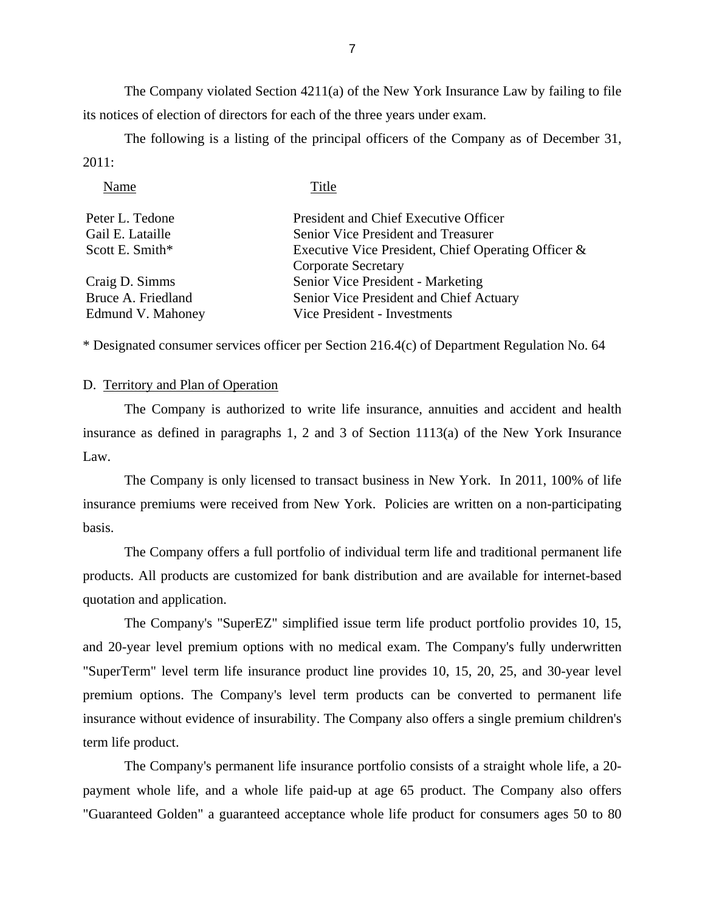The Company violated Section  $4211(a)$  of the New York Insurance Law by failing to file its notices of election of directors for each of the three years under exam.

The following is a listing of the principal officers of the Company as of December 31, 2011:

| Name               | Title                                               |
|--------------------|-----------------------------------------------------|
| Peter L. Tedone    | President and Chief Executive Officer               |
| Gail E. Lataille   | Senior Vice President and Treasurer                 |
| Scott E. Smith*    | Executive Vice President, Chief Operating Officer & |
|                    | <b>Corporate Secretary</b>                          |
| Craig D. Simms     | Senior Vice President - Marketing                   |
| Bruce A. Friedland | Senior Vice President and Chief Actuary             |
| Edmund V. Mahoney  | Vice President - Investments                        |

\* Designated consumer services officer per Section 216.4(c) of Department Regulation No. 64

#### D. Territory and Plan of Operation

The Company is authorized to write life insurance, annuities and accident and health insurance as defined in paragraphs 1, 2 and 3 of Section 1113(a) of the New York Insurance Law.

insurance premiums were received from New York. Policies are written on a non-participating The Company is only licensed to transact business in New York. In 2011, 100% of life basis.

The Company offers a full portfolio of individual term life and traditional permanent life products. All products are customized for bank distribution and are available for internet-based quotation and application.

The Company's "SuperEZ" simplified issue term life product portfolio provides 10, 15, and 20-year level premium options with no medical exam. The Company's fully underwritten "SuperTerm" level term life insurance product line provides 10, 15, 20, 25, and 30-year level premium options. The Company's level term products can be converted to permanent life insurance without evidence of insurability. The Company also offers a single premium children's term life product.

The Company's permanent life insurance portfolio consists of a straight whole life, a 20 payment whole life, and a whole life paid-up at age 65 product. The Company also offers "Guaranteed Golden" a guaranteed acceptance whole life product for consumers ages 50 to 80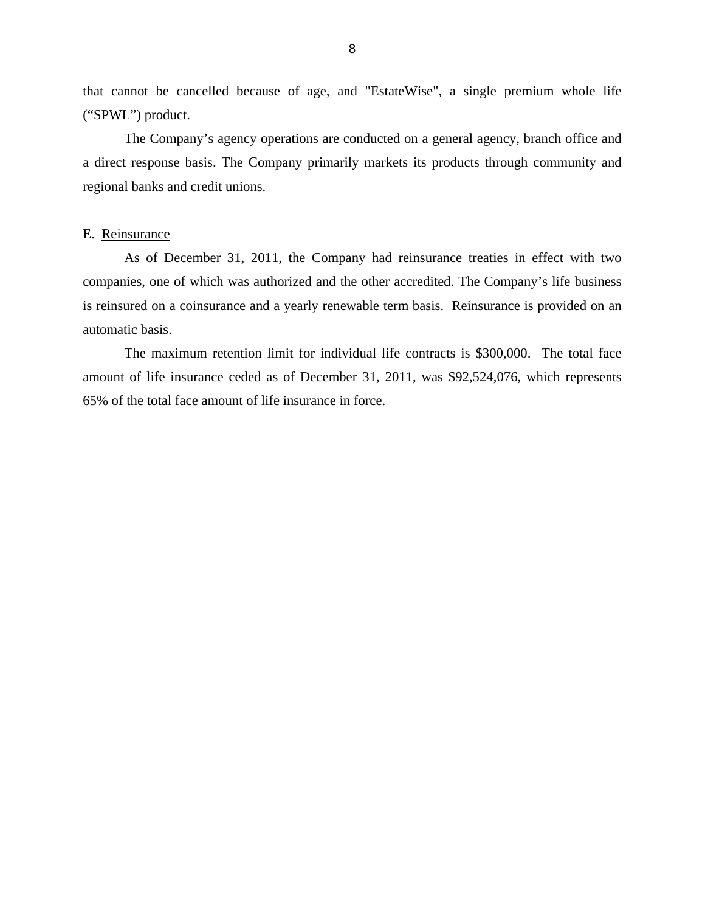<span id="page-10-0"></span>that cannot be cancelled because of age, and "EstateWise", a single premium whole life ("SPWL") product.

The Company's agency operations are conducted on a general agency, branch office and a direct response basis. The Company primarily markets its products through community and regional banks and credit unions.

#### E. Reinsurance

is reinsured on a coinsurance and a yearly renewable term basis. Reinsurance is provided on an As of December 31, 2011, the Company had reinsurance treaties in effect with two companies, one of which was authorized and the other accredited. The Company's life business automatic basis.

The maximum retention limit for individual life contracts is \$300,000. The total face amount of life insurance ceded as of December 31, 2011, was \$92,524,076, which represents 65% of the total face amount of life insurance in force.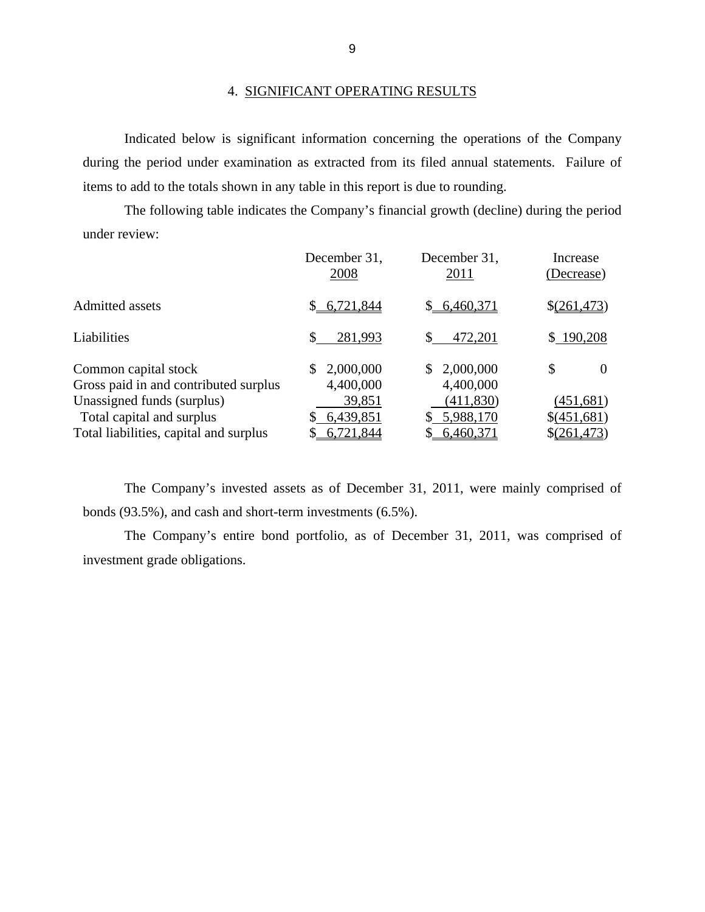#### 4. SIGNIFICANT OPERATING RESULTS

Indicated below is significant information concerning the operations of the Company during the period under examination as extracted from its filed annual statements. Failure of items to add to the totals shown in any table in this report is due to rounding.

The following table indicates the Company's financial growth (decline) during the period under review:

|                                                               | December 31,<br>2008         | December 31,<br>2011          | Increase<br>(Decrease)   |
|---------------------------------------------------------------|------------------------------|-------------------------------|--------------------------|
| <b>Admitted assets</b>                                        | \$6,721,844                  | \$6,460,371                   | \$(261,473)              |
| Liabilities                                                   | 281,993                      | 472,201                       | \$190,208                |
| Common capital stock<br>Gross paid in and contributed surplus | 2,000,000<br>S.<br>4,400,000 | 2,000,000<br>S.<br>4,400,000  | S<br>$\Omega$            |
| Unassigned funds (surplus)<br>Total capital and surplus       | 39,851<br>6,439,851          | (411, 830)<br>5,988,170<br>S. | (451,681)<br>\$(451,681) |
| Total liabilities, capital and surplus                        | 6,721,844                    | 6,460,371                     | \$(261,473)              |

The Company's invested assets as of December 31, 2011, were mainly comprised of bonds (93.5%), and cash and short-term investments (6.5%).

The Company's entire bond portfolio, as of December 31, 2011, was comprised of investment grade obligations.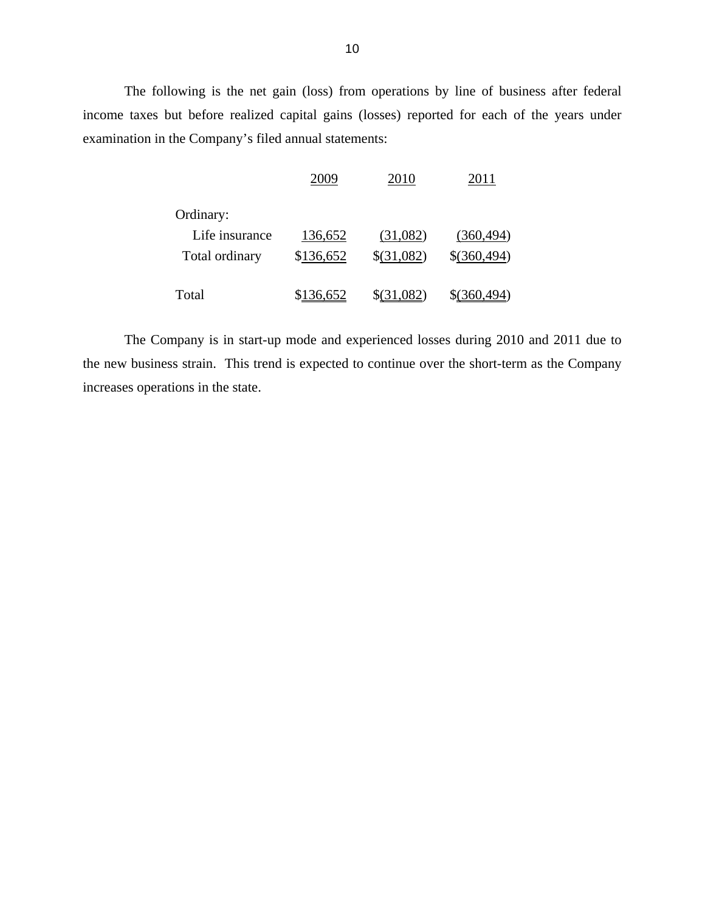The following is the net gain (loss) from operations by line of business after federal income taxes but before realized capital gains (losses) reported for each of the years under examination in the Company's filed annual statements:

|                | 2009      | 2010       | 2011         |
|----------------|-----------|------------|--------------|
| Ordinary:      |           |            |              |
| Life insurance | 136,652   | (31,082)   | (360, 494)   |
| Total ordinary | \$136,652 | \$(31,082) | \$(360,494)  |
| Total          | 6.652     | .082       | \$(360, 494) |

The Company is in start-up mode and experienced losses during 2010 and 2011 due to the new business strain. This trend is expected to continue over the short-term as the Company increases operations in the state.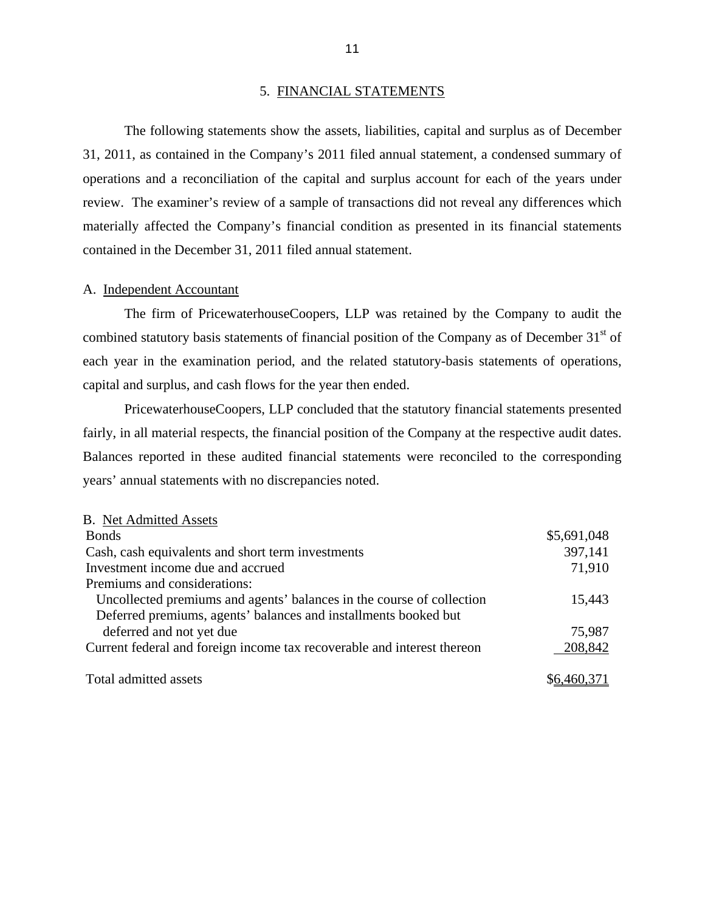#### 5. FINANCIAL STATEMENTS

<span id="page-13-0"></span>The following statements show the assets, liabilities, capital and surplus as of December 31, 2011, as contained in the Company's 2011 filed annual statement, a condensed summary of operations and a reconciliation of the capital and surplus account for each of the years under review. The examiner's review of a sample of transactions did not reveal any differences which materially affected the Company's financial condition as presented in its financial statements contained in the December 31, 2011 filed annual statement.

#### A. Independent Accountant

The firm of PricewaterhouseCoopers, LLP was retained by the Company to audit the combined statutory basis statements of financial position of the Company as of December  $31<sup>st</sup>$  of each year in the examination period, and the related statutory-basis statements of operations, capital and surplus, and cash flows for the year then ended.

fairly, in all material respects, the financial position of the Company at the respective audit dates. PricewaterhouseCoopers, LLP concluded that the statutory financial statements presented Balances reported in these audited financial statements were reconciled to the corresponding years' annual statements with no discrepancies noted.

| <b>B.</b> Net Admitted Assets                                           |             |
|-------------------------------------------------------------------------|-------------|
| <b>Bonds</b>                                                            | \$5,691,048 |
| Cash, cash equivalents and short term investments                       | 397,141     |
| Investment income due and accrued                                       | 71,910      |
| Premiums and considerations:                                            |             |
| Uncollected premiums and agents' balances in the course of collection   | 15,443      |
| Deferred premiums, agents' balances and installments booked but         |             |
| deferred and not yet due                                                | 75,987      |
| Current federal and foreign income tax recoverable and interest thereon | 208,842     |
|                                                                         |             |
| Total admitted assets                                                   | \$6,460,371 |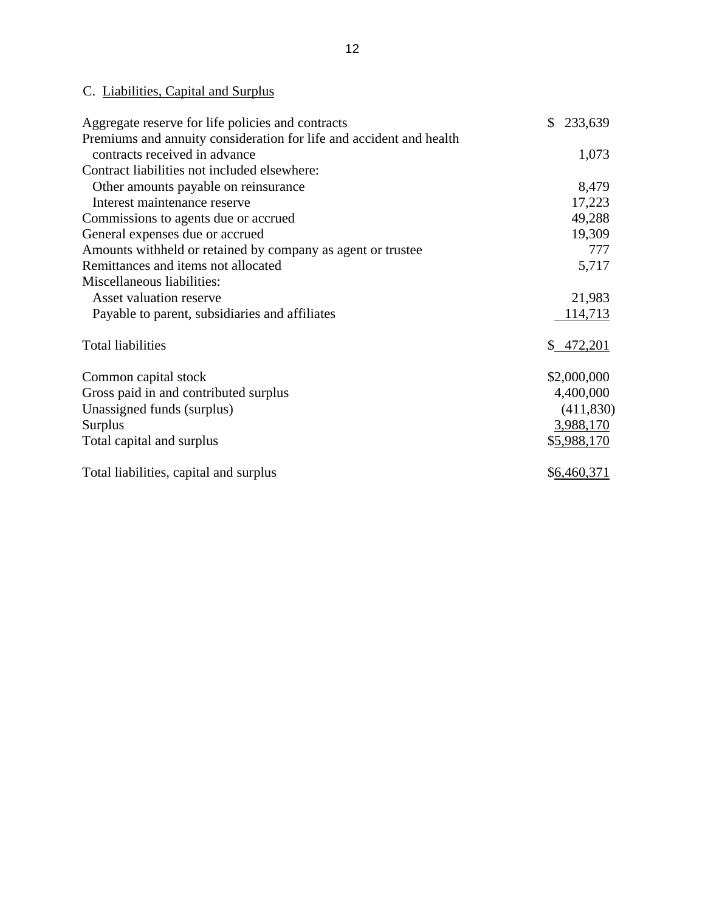# C. Liabilities, Capital and Surplus

| Aggregate reserve for life policies and contracts                   | $\mathbb{S}$<br>233,639 |
|---------------------------------------------------------------------|-------------------------|
| Premiums and annuity consideration for life and accident and health |                         |
| contracts received in advance                                       | 1,073                   |
| Contract liabilities not included elsewhere:                        |                         |
| Other amounts payable on reinsurance                                | 8,479                   |
| Interest maintenance reserve                                        | 17,223                  |
| Commissions to agents due or accrued                                | 49,288                  |
| General expenses due or accrued                                     | 19,309                  |
| Amounts withheld or retained by company as agent or trustee         | 777                     |
| Remittances and items not allocated                                 | 5,717                   |
| Miscellaneous liabilities:                                          |                         |
| Asset valuation reserve                                             | 21,983                  |
| Payable to parent, subsidiaries and affiliates                      | 114,713                 |
| <b>Total liabilities</b>                                            | \$472,201               |
| Common capital stock                                                | \$2,000,000             |
| Gross paid in and contributed surplus                               | 4,400,000               |
| Unassigned funds (surplus)                                          | (411,830)               |
| <b>Surplus</b>                                                      | 3,988,170               |
| Total capital and surplus                                           | \$5,988,170             |
| Total liabilities, capital and surplus                              | \$6,460,371             |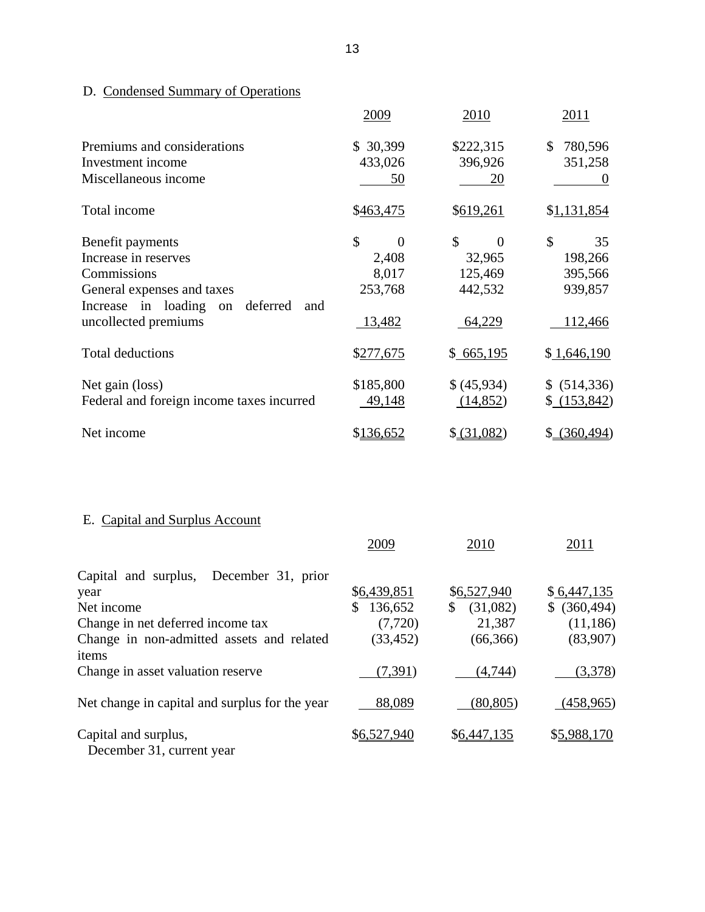# D. Condensed Summary of Operations

|                                                                                                                                                               | 2009                                                        | 2010                                                           | 2011                                                 |
|---------------------------------------------------------------------------------------------------------------------------------------------------------------|-------------------------------------------------------------|----------------------------------------------------------------|------------------------------------------------------|
| Premiums and considerations<br>Investment income<br>Miscellaneous income                                                                                      | 30,399<br>S.<br>433,026<br>50                               | \$222,315<br>396,926<br>20                                     | 780,596<br>\$<br>351,258<br>$\theta$                 |
| Total income                                                                                                                                                  | \$463,475                                                   | \$619,261                                                      | \$1,131,854                                          |
| Benefit payments<br>Increase in reserves<br>Commissions<br>General expenses and taxes<br>Increase in loading<br>deferred<br>on<br>and<br>uncollected premiums | \$<br>$\overline{0}$<br>2,408<br>8,017<br>253,768<br>13,482 | \$<br>$\overline{0}$<br>32,965<br>125,469<br>442,532<br>64,229 | \$<br>35<br>198,266<br>395,566<br>939,857<br>112,466 |
| <b>Total deductions</b>                                                                                                                                       | \$277,675                                                   | \$665,195                                                      | \$1,646,190                                          |
| Net gain (loss)<br>Federal and foreign income taxes incurred                                                                                                  | \$185,800<br>49,148                                         | \$(45,934)<br>(14,852)                                         | \$ (514,336)<br>(153, 842)                           |
| Net income                                                                                                                                                    | \$136,652                                                   | \$ (31,082)                                                    | (360, 494)<br>\$                                     |

# E. Capital and Surplus Account

|                                                   | 2009          | 2010           | 2011             |
|---------------------------------------------------|---------------|----------------|------------------|
| Capital and surplus,<br>December 31, prior        |               |                |                  |
| year                                              | \$6,439,851   | \$6,527,940    | \$6,447,135      |
| Net income                                        | \$<br>136,652 | (31,082)<br>\$ | (360, 494)<br>\$ |
| Change in net deferred income tax                 | (7, 720)      | 21,387         | (11, 186)        |
| Change in non-admitted assets and related         | (33, 452)     | (66, 366)      | (83,907)         |
| items                                             |               |                |                  |
| Change in asset valuation reserve                 | (7, 391)      | (4,744)        | (3,378)          |
| Net change in capital and surplus for the year    | 88,089        | (80, 805)      | (458,965)        |
| Capital and surplus,<br>December 31, current year | \$6,527,940   | \$6,447,135    | \$5,988,170      |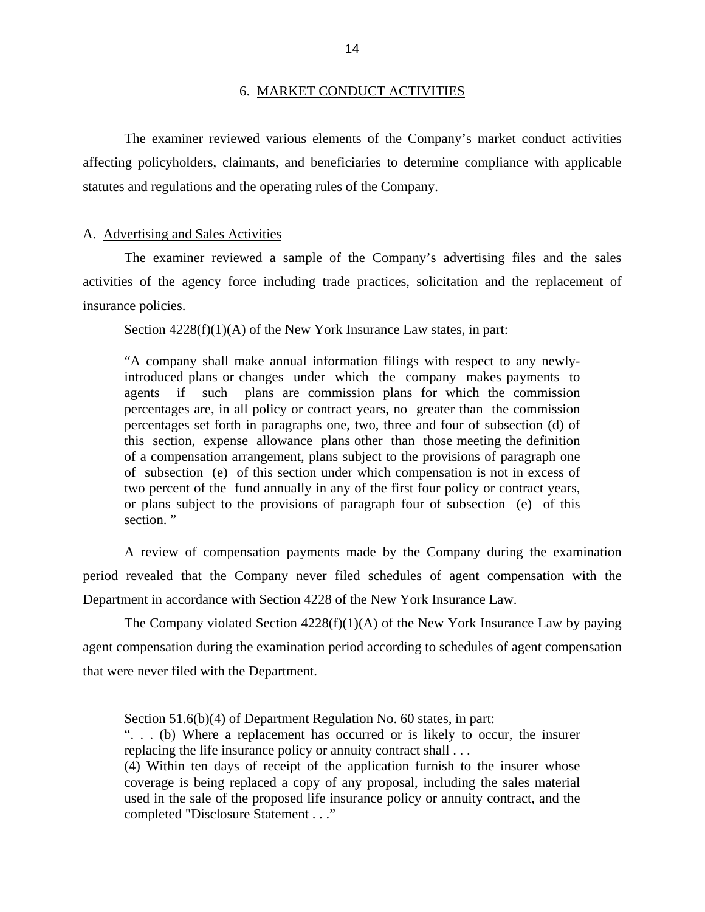#### 6. MARKET CONDUCT ACTIVITIES

<span id="page-16-0"></span>The examiner reviewed various elements of the Company's market conduct activities affecting policyholders, claimants, and beneficiaries to determine compliance with applicable statutes and regulations and the operating rules of the Company.

#### A. Advertising and Sales Activities

The examiner reviewed a sample of the Company's advertising files and the sales activities of the agency force including trade practices, solicitation and the replacement of insurance policies.

Section  $4228(f)(1)(A)$  of the New York Insurance Law states, in part:

"A company shall make annual information filings with respect to any newlyintroduced plans or changes under which the company makes payments to agents if such plans are commission plans for which the commission percentages are, in all policy or contract years, no greater than the commission percentages set forth in paragraphs one, two, three and four of subsection (d) of this section, expense allowance plans other than those meeting the definition of a compensation arrangement, plans subject to the provisions of paragraph one of subsection (e) of this section under which compensation is not in excess of two percent of the fund annually in any of the first four policy or contract years, or plans subject to the provisions of paragraph four of subsection (e) of this section."

A review of compensation payments made by the Company during the examination period revealed that the Company never filed schedules of agent compensation with the Department in accordance with Section 4228 of the New York Insurance Law.

The Company violated Section  $4228(f)(1)(A)$  of the New York Insurance Law by paying agent compensation during the examination period according to schedules of agent compensation that were never filed with the Department.

Section 51.6(b)(4) of Department Regulation No. 60 states, in part:

". . . (b) Where a replacement has occurred or is likely to occur, the insurer replacing the life insurance policy or annuity contract shall . . .

(4) Within ten days of receipt of the application furnish to the insurer whose coverage is being replaced a copy of any proposal, including the sales material used in the sale of the proposed life insurance policy or annuity contract, and the completed "Disclosure Statement . . ."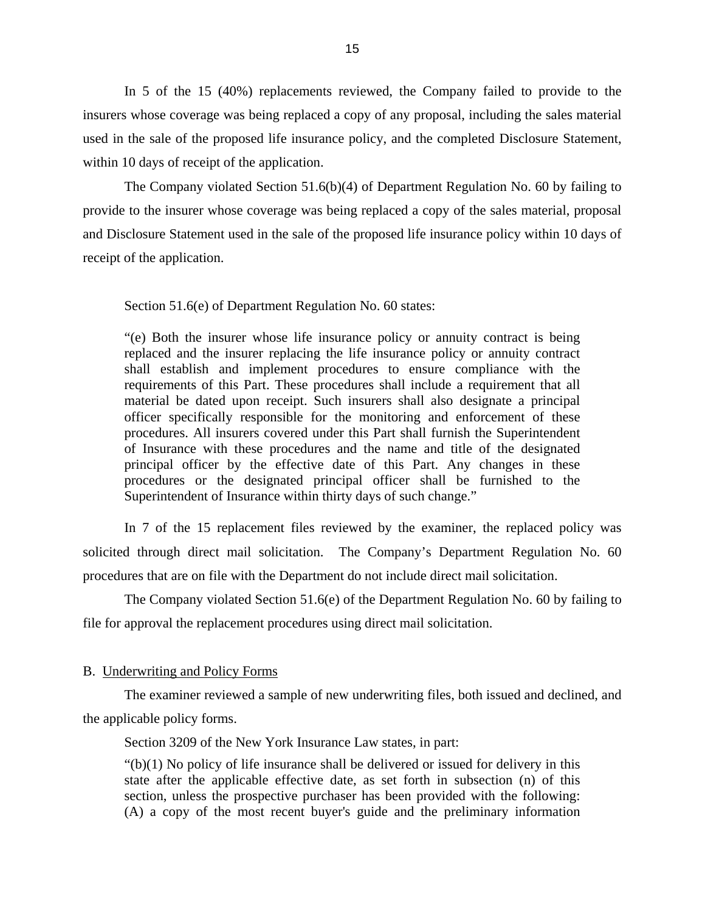<span id="page-17-0"></span>In 5 of the 15 (40%) replacements reviewed, the Company failed to provide to the insurers whose coverage was being replaced a copy of any proposal, including the sales material used in the sale of the proposed life insurance policy, and the completed Disclosure Statement, within 10 days of receipt of the application.

The Company violated Section 51.6(b)(4) of Department Regulation No. 60 by failing to provide to the insurer whose coverage was being replaced a copy of the sales material, proposal and Disclosure Statement used in the sale of the proposed life insurance policy within 10 days of receipt of the application.

Section 51.6(e) of Department Regulation No. 60 states:

"(e) Both the insurer whose life insurance policy or annuity contract is being replaced and the insurer replacing the life insurance policy or annuity contract shall establish and implement procedures to ensure compliance with the requirements of this Part. These procedures shall include a requirement that all material be dated upon receipt. Such insurers shall also designate a principal officer specifically responsible for the monitoring and enforcement of these procedures. All insurers covered under this Part shall furnish the Superintendent of Insurance with these procedures and the name and title of the designated principal officer by the effective date of this Part. Any changes in these procedures or the designated principal officer shall be furnished to the Superintendent of Insurance within thirty days of such change."

procedures that are on file with the Department do not include direct mail solicitation. In 7 of the 15 replacement files reviewed by the examiner, the replaced policy was solicited through direct mail solicitation. The Company's Department Regulation No. 60

The Company violated Section 51.6(e) of the Department Regulation No. 60 by failing to file for approval the replacement procedures using direct mail solicitation.

#### B. Underwriting and Policy Forms

The examiner reviewed a sample of new underwriting files, both issued and declined, and the applicable policy forms.

Section 3209 of the New York Insurance Law states, in part:

 $"(b)(1)$  No policy of life insurance shall be delivered or issued for delivery in this state after the applicable effective date, as set forth in subsection (n) of this section, unless the prospective purchaser has been provided with the following: (A) a copy of the most recent buyer's guide and the preliminary information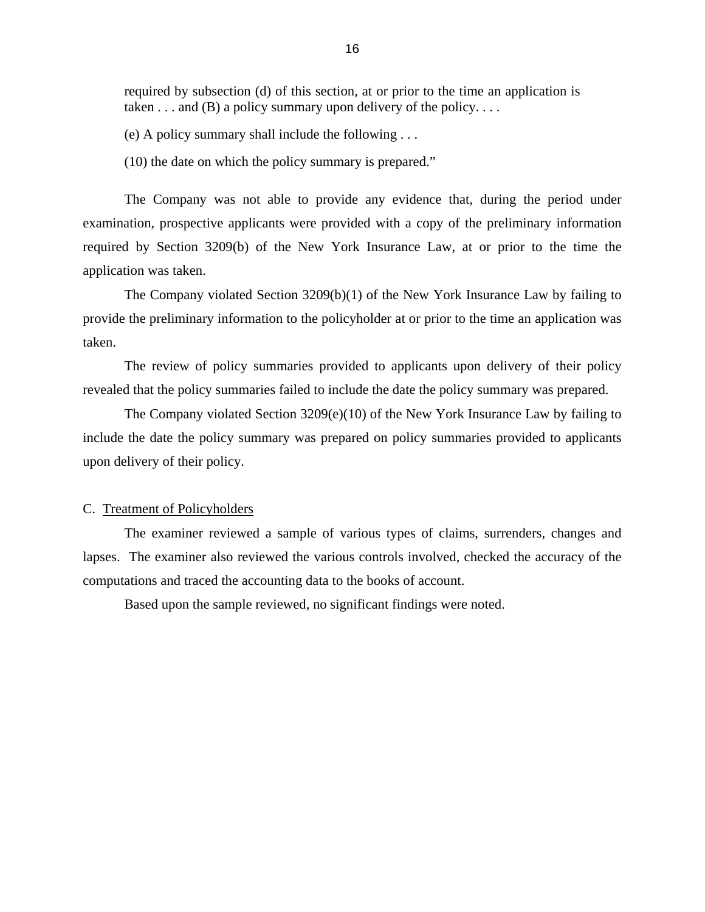<span id="page-18-0"></span>required by subsection (d) of this section, at or prior to the time an application is taken  $\dots$  and (B) a policy summary upon delivery of the policy.  $\dots$ 

(e) A policy summary shall include the following . . .

(10) the date on which the policy summary is prepared."

The Company was not able to provide any evidence that, during the period under examination, prospective applicants were provided with a copy of the preliminary information required by Section 3209(b) of the New York Insurance Law, at or prior to the time the application was taken.

The Company violated Section 3209(b)(1) of the New York Insurance Law by failing to provide the preliminary information to the policyholder at or prior to the time an application was taken.

The review of policy summaries provided to applicants upon delivery of their policy revealed that the policy summaries failed to include the date the policy summary was prepared.

The Company violated Section 3209(e)(10) of the New York Insurance Law by failing to include the date the policy summary was prepared on policy summaries provided to applicants upon delivery of their policy.

#### C. Treatment of Policyholders

The examiner reviewed a sample of various types of claims, surrenders, changes and lapses. The examiner also reviewed the various controls involved, checked the accuracy of the computations and traced the accounting data to the books of account.

Based upon the sample reviewed, no significant findings were noted.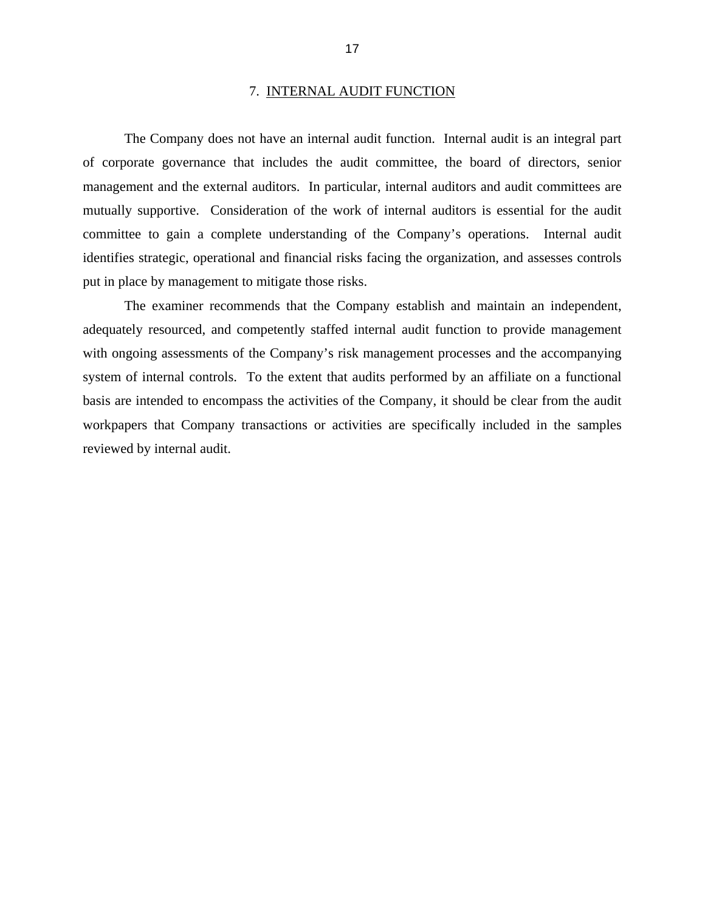#### 7. INTERNAL AUDIT FUNCTION

<span id="page-19-0"></span>The Company does not have an internal audit function. Internal audit is an integral part of corporate governance that includes the audit committee, the board of directors, senior management and the external auditors. In particular, internal auditors and audit committees are mutually supportive. Consideration of the work of internal auditors is essential for the audit committee to gain a complete understanding of the Company's operations. Internal audit identifies strategic, operational and financial risks facing the organization, and assesses controls put in place by management to mitigate those risks.

The examiner recommends that the Company establish and maintain an independent, adequately resourced, and competently staffed internal audit function to provide management with ongoing assessments of the Company's risk management processes and the accompanying system of internal controls. To the extent that audits performed by an affiliate on a functional basis are intended to encompass the activities of the Company, it should be clear from the audit workpapers that Company transactions or activities are specifically included in the samples reviewed by internal audit.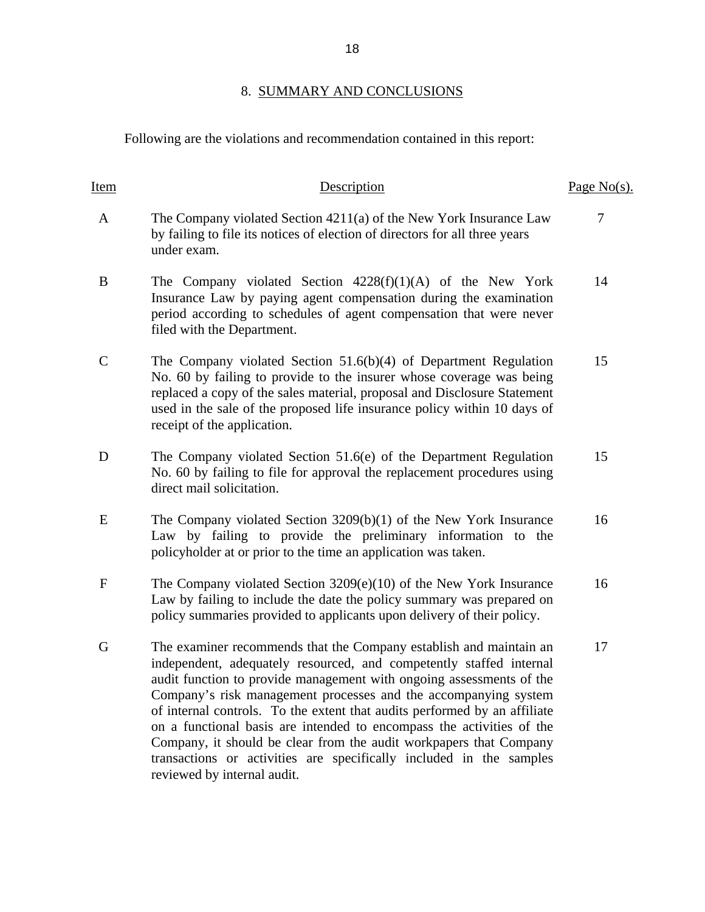# 8. SUMMARY AND CONCLUSIONS

Following are the violations and recommendation contained in this report:

| Item         | Description                                                                                                                                                                                                                                                                                                                                                                                                                                                                                                                                                                                                            | Page $No(s)$ . |
|--------------|------------------------------------------------------------------------------------------------------------------------------------------------------------------------------------------------------------------------------------------------------------------------------------------------------------------------------------------------------------------------------------------------------------------------------------------------------------------------------------------------------------------------------------------------------------------------------------------------------------------------|----------------|
| A            | The Company violated Section 4211(a) of the New York Insurance Law<br>by failing to file its notices of election of directors for all three years<br>under exam.                                                                                                                                                                                                                                                                                                                                                                                                                                                       | 7              |
| B            | The Company violated Section $4228(f)(1)(A)$ of the New York<br>Insurance Law by paying agent compensation during the examination<br>period according to schedules of agent compensation that were never<br>filed with the Department.                                                                                                                                                                                                                                                                                                                                                                                 | 14             |
| $\mathsf{C}$ | The Company violated Section $51.6(b)(4)$ of Department Regulation<br>No. 60 by failing to provide to the insurer whose coverage was being<br>replaced a copy of the sales material, proposal and Disclosure Statement<br>used in the sale of the proposed life insurance policy within 10 days of<br>receipt of the application.                                                                                                                                                                                                                                                                                      | 15             |
| D            | The Company violated Section 51.6(e) of the Department Regulation<br>No. 60 by failing to file for approval the replacement procedures using<br>direct mail solicitation.                                                                                                                                                                                                                                                                                                                                                                                                                                              | 15             |
| E            | The Company violated Section $3209(b)(1)$ of the New York Insurance<br>Law by failing to provide the preliminary information to the<br>policyholder at or prior to the time an application was taken.                                                                                                                                                                                                                                                                                                                                                                                                                  | 16             |
| $\mathbf F$  | The Company violated Section $3209(e)(10)$ of the New York Insurance<br>Law by failing to include the date the policy summary was prepared on<br>policy summaries provided to applicants upon delivery of their policy.                                                                                                                                                                                                                                                                                                                                                                                                | 16             |
| G            | The examiner recommends that the Company establish and maintain an<br>independent, adequately resourced, and competently staffed internal<br>audit function to provide management with ongoing assessments of the<br>Company's risk management processes and the accompanying system<br>of internal controls. To the extent that audits performed by an affiliate<br>on a functional basis are intended to encompass the activities of the<br>Company, it should be clear from the audit workpapers that Company<br>transactions or activities are specifically included in the samples<br>reviewed by internal audit. | 17             |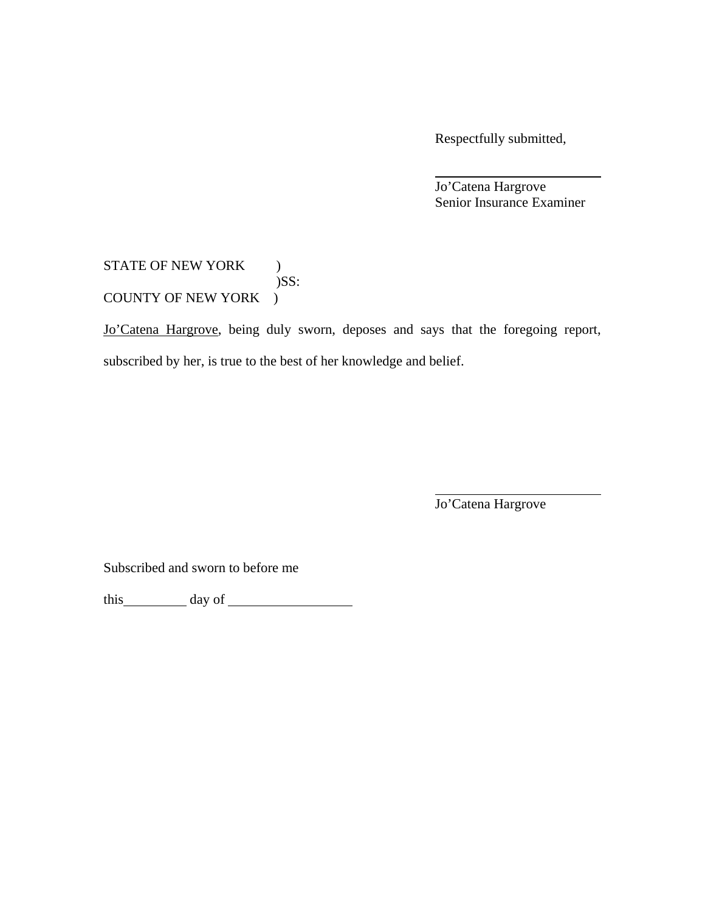Respectfully submitted,

 Jo'Catena Hargrove Senior Insurance Examiner

### STATE OF NEW YORK ) )SS: COUNTY OF NEW YORK )

Jo'Catena Hargrove, being duly sworn, deposes and says that the foregoing report, subscribed by her, is true to the best of her knowledge and belief.

Jo'Catena Hargrove

Subscribed and sworn to before me

this day of